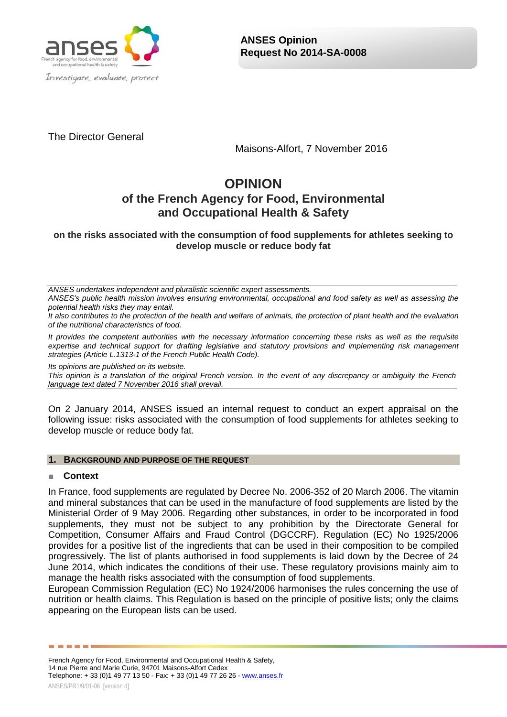

The Director General

Maisons-Alfort, 7 November 2016

# **OPINION of the French Agency for Food, Environmental and Occupational Health & Safety**

**on the risks associated with the consumption of food supplements for athletes seeking to develop muscle or reduce body fat**

*ANSES undertakes independent and pluralistic scientific expert assessments.*

*ANSES's public health mission involves ensuring environmental, occupational and food safety as well as assessing the potential health risks they may entail.*

*It also contributes to the protection of the health and welfare of animals, the protection of plant health and the evaluation of the nutritional characteristics of food.*

*It provides the competent authorities with the necessary information concerning these risks as well as the requisite expertise and technical support for drafting legislative and statutory provisions and implementing risk management strategies (Article L.1313-1 of the French Public Health Code).* 

*Its opinions are published on its website.* 

*This opinion is a translation of the original French version. In the event of any discrepancy or ambiguity the French language text dated 7 November 2016 shall prevail.*

On 2 January 2014, ANSES issued an internal request to conduct an expert appraisal on the following issue: risks associated with the consumption of food supplements for athletes seeking to develop muscle or reduce body fat.

## **1. BACKGROUND AND PURPOSE OF THE REQUEST**

## ■ **Context**

In France, food supplements are regulated by Decree No. 2006-352 of 20 March 2006. The vitamin and mineral substances that can be used in the manufacture of food supplements are listed by the Ministerial Order of 9 May 2006. Regarding other substances, in order to be incorporated in food supplements, they must not be subject to any prohibition by the Directorate General for Competition, Consumer Affairs and Fraud Control (DGCCRF). Regulation (EC) No 1925/2006 provides for a positive list of the ingredients that can be used in their composition to be compiled progressively. The list of plants authorised in food supplements is laid down by the Decree of 24 June 2014, which indicates the conditions of their use. These regulatory provisions mainly aim to manage the health risks associated with the consumption of food supplements.

European Commission Regulation (EC) No 1924/2006 harmonises the rules concerning the use of nutrition or health claims. This Regulation is based on the principle of positive lists; only the claims appearing on the European lists can be used.

French Agency for Food, Environmental and Occupational Health & Safety, 14 rue Pierre and Marie Curie, 94701 Maisons-Alfort Cedex Telephone: + 33 (0)1 49 77 13 50 - Fax: + 33 (0)1 49 77 26 26 - [www.anses.fr](http://www.anses.fr/)

------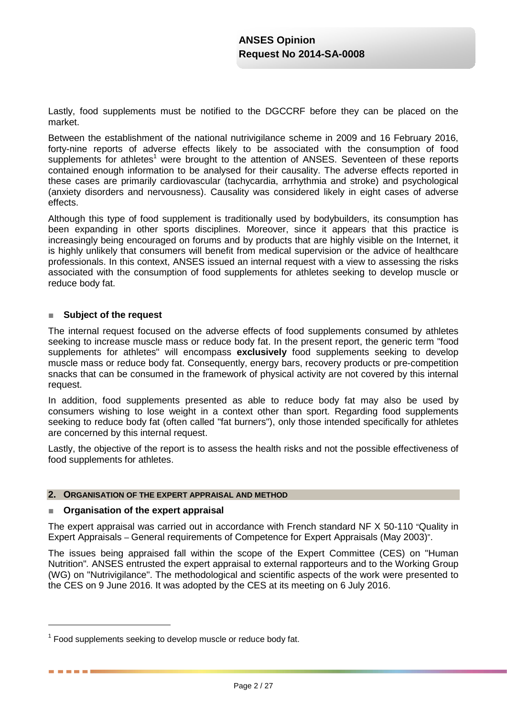Lastly, food supplements must be notified to the DGCCRF before they can be placed on the market.

Between the establishment of the national nutrivigilance scheme in 2009 and 16 February 2016, forty-nine reports of adverse effects likely to be associated with the consumption of food supplements for athletes<sup>1</sup> were brought to the attention of ANSES. Seventeen of these reports contained enough information to be analysed for their causality. The adverse effects reported in these cases are primarily cardiovascular (tachycardia, arrhythmia and stroke) and psychological (anxiety disorders and nervousness). Causality was considered likely in eight cases of adverse effects.

Although this type of food supplement is traditionally used by bodybuilders, its consumption has been expanding in other sports disciplines. Moreover, since it appears that this practice is increasingly being encouraged on forums and by products that are highly visible on the Internet, it is highly unlikely that consumers will benefit from medical supervision or the advice of healthcare professionals. In this context, ANSES issued an internal request with a view to assessing the risks associated with the consumption of food supplements for athletes seeking to develop muscle or reduce body fat.

## ■ **Subject of the request**

The internal request focused on the adverse effects of food supplements consumed by athletes seeking to increase muscle mass or reduce body fat. In the present report, the generic term "food supplements for athletes" will encompass **exclusively** food supplements seeking to develop muscle mass or reduce body fat. Consequently, energy bars, recovery products or pre-competition snacks that can be consumed in the framework of physical activity are not covered by this internal request.

In addition, food supplements presented as able to reduce body fat may also be used by consumers wishing to lose weight in a context other than sport. Regarding food supplements seeking to reduce body fat (often called "fat burners"), only those intended specifically for athletes are concerned by this internal request.

Lastly, the objective of the report is to assess the health risks and not the possible effectiveness of food supplements for athletes.

## **2. ORGANISATION OF THE EXPERT APPRAISAL AND METHOD**

## ■ **Organisation of the expert appraisal**

-

. . . . .

The expert appraisal was carried out in accordance with French standard NF X 50-110 "Quality in Expert Appraisals – General requirements of Competence for Expert Appraisals (May 2003)".

The issues being appraised fall within the scope of the Expert Committee (CES) on "Human Nutrition"*.* ANSES entrusted the expert appraisal to external rapporteurs and to the Working Group (WG) on "Nutrivigilance". The methodological and scientific aspects of the work were presented to the CES on 9 June 2016. It was adopted by the CES at its meeting on 6 July 2016.

 $1$  Food supplements seeking to develop muscle or reduce body fat.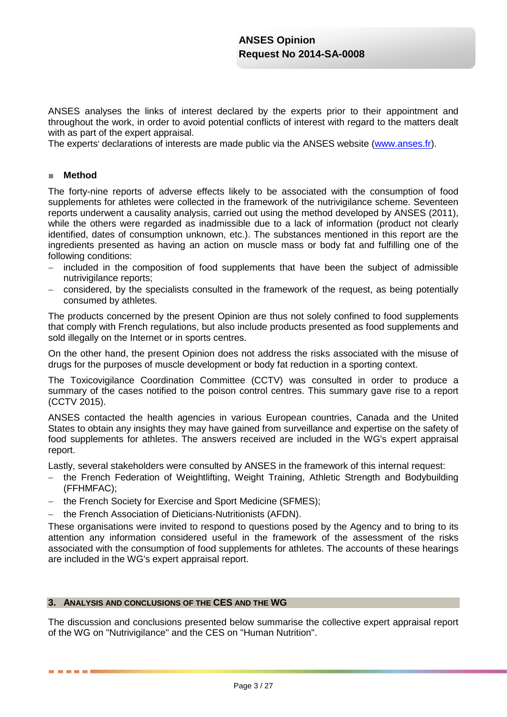ANSES analyses the links of interest declared by the experts prior to their appointment and throughout the work, in order to avoid potential conflicts of interest with regard to the matters dealt with as part of the expert appraisal.

The experts' declarations of interests are made public via the ANSES website [\(www.anses.fr\)](http://www.anses.fr/).

## ■ **Method**

-----

The forty-nine reports of adverse effects likely to be associated with the consumption of food supplements for athletes were collected in the framework of the nutrivigilance scheme. Seventeen reports underwent a causality analysis, carried out using the method developed by ANSES (2011), while the others were regarded as inadmissible due to a lack of information (product not clearly identified, dates of consumption unknown, etc.). The substances mentioned in this report are the ingredients presented as having an action on muscle mass or body fat and fulfilling one of the following conditions:

- − included in the composition of food supplements that have been the subject of admissible nutrivigilance reports;
- considered, by the specialists consulted in the framework of the request, as being potentially consumed by athletes.

The products concerned by the present Opinion are thus not solely confined to food supplements that comply with French regulations, but also include products presented as food supplements and sold illegally on the Internet or in sports centres.

On the other hand, the present Opinion does not address the risks associated with the misuse of drugs for the purposes of muscle development or body fat reduction in a sporting context.

The Toxicovigilance Coordination Committee (CCTV) was consulted in order to produce a summary of the cases notified to the poison control centres. This summary gave rise to a report (CCTV 2015).

ANSES contacted the health agencies in various European countries, Canada and the United States to obtain any insights they may have gained from surveillance and expertise on the safety of food supplements for athletes. The answers received are included in the WG's expert appraisal report.

Lastly, several stakeholders were consulted by ANSES in the framework of this internal request:

- − the French Federation of Weightlifting, Weight Training, Athletic Strength and Bodybuilding (FFHMFAC);
- − the French Society for Exercise and Sport Medicine (SFMES);
- the French Association of Dieticians-Nutritionists (AFDN).

These organisations were invited to respond to questions posed by the Agency and to bring to its attention any information considered useful in the framework of the assessment of the risks associated with the consumption of food supplements for athletes. The accounts of these hearings are included in the WG's expert appraisal report.

## **3. ANALYSIS AND CONCLUSIONS OF THE CES AND THE WG**

The discussion and conclusions presented below summarise the collective expert appraisal report of the WG on "Nutrivigilance" and the CES on "Human Nutrition".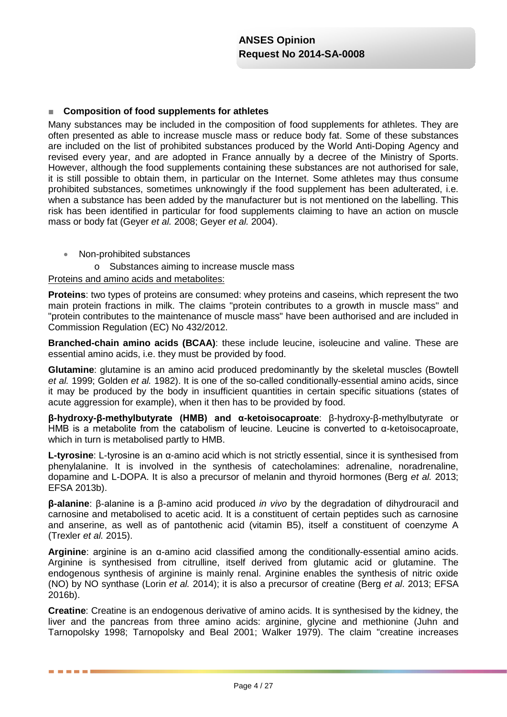## ■ **Composition of food supplements for athletes**

Many substances may be included in the composition of food supplements for athletes. They are often presented as able to increase muscle mass or reduce body fat. Some of these substances are included on the list of prohibited substances produced by the World Anti-Doping Agency and revised every year, and are adopted in France annually by a decree of the Ministry of Sports. However, although the food supplements containing these substances are not authorised for sale, it is still possible to obtain them, in particular on the Internet. Some athletes may thus consume prohibited substances, sometimes unknowingly if the food supplement has been adulterated, i.e. when a substance has been added by the manufacturer but is not mentioned on the labelling. This risk has been identified in particular for food supplements claiming to have an action on muscle mass or body fat (Geyer *et al.* 2008; Geyer *et al.* 2004).

• Non-prohibited substances

o Substances aiming to increase muscle mass

## Proteins and amino acids and metabolites:

**Proteins**: two types of proteins are consumed: whey proteins and caseins, which represent the two main protein fractions in milk. The claims "protein contributes to a growth in muscle mass" and "protein contributes to the maintenance of muscle mass" have been authorised and are included in Commission Regulation (EC) No 432/2012.

**Branched-chain amino acids (BCAA)**: these include leucine, isoleucine and valine. These are essential amino acids, i.e. they must be provided by food.

**Glutamine**: glutamine is an amino acid produced predominantly by the skeletal muscles (Bowtell *et al.* 1999; Golden *et al.* 1982). It is one of the so-called conditionally-essential amino acids, since it may be produced by the body in insufficient quantities in certain specific situations (states of acute aggression for example), when it then has to be provided by food.

**β-hydroxy-β-methylbutyrate (HMB) and α-ketoisocaproate**: β-hydroxy-β-methylbutyrate or HMB is a metabolite from the catabolism of leucine. Leucine is converted to α-ketoisocaproate, which in turn is metabolised partly to HMB.

**L-tyrosine**: L-tyrosine is an α-amino acid which is not strictly essential, since it is synthesised from phenylalanine. It is involved in the synthesis of catecholamines: adrenaline, noradrenaline, dopamine and L-DOPA. It is also a precursor of melanin and thyroid hormones (Berg *et al.* 2013; EFSA 2013b).

**β-alanine**: β-alanine is a β-amino acid produced *in vivo* by the degradation of dihydrouracil and carnosine and metabolised to acetic acid. It is a constituent of certain peptides such as carnosine and anserine, as well as of pantothenic acid (vitamin B5), itself a constituent of coenzyme A (Trexler *et al.* 2015).

**Arginine**: arginine is an α-amino acid classified among the conditionally-essential amino acids. Arginine is synthesised from citrulline, itself derived from glutamic acid or glutamine. The endogenous synthesis of arginine is mainly renal. Arginine enables the synthesis of nitric oxide (NO) by NO synthase (Lorin *et al.* 2014); it is also a precursor of creatine (Berg *et al*. 2013; EFSA 2016b).

**Creatine**: Creatine is an endogenous derivative of amino acids. It is synthesised by the kidney, the liver and the pancreas from three amino acids: arginine, glycine and methionine (Juhn and Tarnopolsky 1998; Tarnopolsky and Beal 2001; Walker 1979). The claim "creatine increases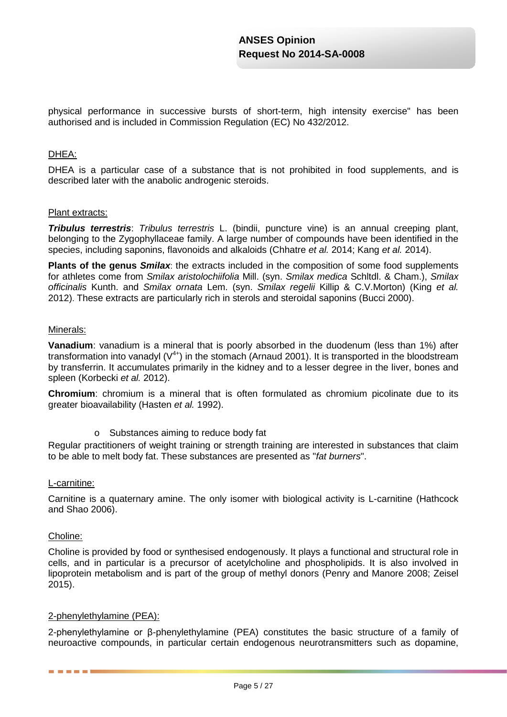physical performance in successive bursts of short-term, high intensity exercise" has been authorised and is included in Commission Regulation (EC) No 432/2012.

## DHEA:

DHEA is a particular case of a substance that is not prohibited in food supplements, and is described later with the anabolic androgenic steroids.

## Plant extracts:

*Tribulus terrestris*: *Tribulus terrestris* L. (bindii, puncture vine) is an annual creeping plant, belonging to the Zygophyllaceae family. A large number of compounds have been identified in the species, including saponins, flavonoids and alkaloids (Chhatre *et al.* 2014; Kang *et al.* 2014).

**Plants of the genus** *Smilax*: the extracts included in the composition of some food supplements for athletes come from *Smilax aristolochiifolia* Mill. (syn. *Smilax medica* Schltdl. & Cham.), *Smilax officinalis* Kunth. and *Smilax ornata* Lem. (syn. *Smilax regelii* Killip & C.V.Morton) (King *et al.* 2012). These extracts are particularly rich in sterols and steroidal saponins (Bucci 2000).

#### Minerals:

**Vanadium**: vanadium is a mineral that is poorly absorbed in the duodenum (less than 1%) after transformation into vanadyl  $(V^{4+})$  in the stomach (Arnaud 2001). It is transported in the bloodstream by transferrin. It accumulates primarily in the kidney and to a lesser degree in the liver, bones and spleen (Korbecki *et al.* 2012).

**Chromium**: chromium is a mineral that is often formulated as chromium picolinate due to its greater bioavailability (Hasten *et al.* 1992).

o Substances aiming to reduce body fat

Regular practitioners of weight training or strength training are interested in substances that claim to be able to melt body fat. These substances are presented as "*fat burners*".

## L-carnitine:

Carnitine is a quaternary amine. The only isomer with biological activity is L-carnitine (Hathcock and Shao 2006).

## Choline:

------

Choline is provided by food or synthesised endogenously. It plays a functional and structural role in cells, and in particular is a precursor of acetylcholine and phospholipids. It is also involved in lipoprotein metabolism and is part of the group of methyl donors (Penry and Manore 2008; Zeisel 2015).

## 2-phenylethylamine (PEA):

2-phenylethylamine or β-phenylethylamine (PEA) constitutes the basic structure of a family of neuroactive compounds, in particular certain endogenous neurotransmitters such as dopamine,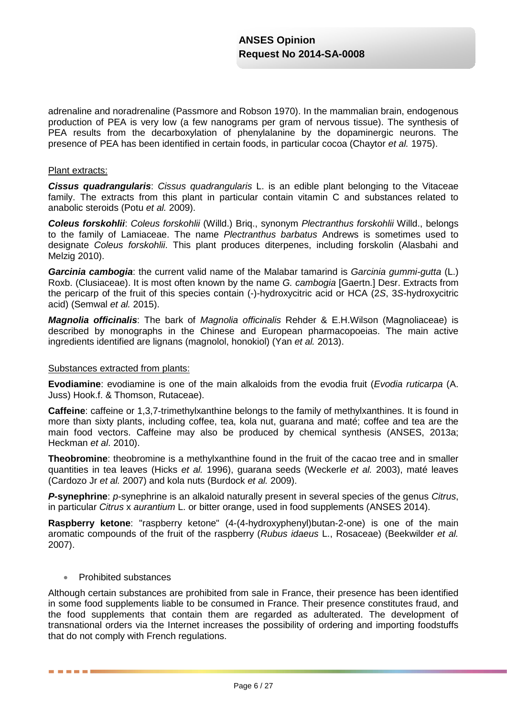adrenaline and noradrenaline (Passmore and Robson 1970). In the mammalian brain, endogenous production of PEA is very low (a few nanograms per gram of nervous tissue). The synthesis of PEA results from the decarboxylation of phenylalanine by the dopaminergic neurons. The presence of PEA has been identified in certain foods, in particular cocoa (Chaytor *et al.* 1975).

## Plant extracts:

*Cissus quadrangularis*: *Cissus quadrangularis* L. is an edible plant belonging to the Vitaceae family. The extracts from this plant in particular contain vitamin C and substances related to anabolic steroids (Potu *et al.* 2009).

*Coleus forskohlii*: *Coleus forskohlii* (Willd.) Briq., synonym *Plectranthus forskohlii* Willd., belongs to the family of Lamiaceae. The name *Plectranthus barbatus* Andrews is sometimes used to designate *Coleus forskohlii*. This plant produces diterpenes, including forskolin (Alasbahi and Melzig 2010).

*Garcinia cambogia*: the current valid name of the Malabar tamarind is *Garcinia gummi-gutta* (L.) Roxb. (Clusiaceae). It is most often known by the name *G. cambogia* [Gaertn.] Desr. Extracts from the pericarp of the fruit of this species contain (-)-hydroxycitric acid or HCA (2*S*, 3*S-*hydroxycitric acid) (Semwal *et al.* 2015).

*Magnolia officinalis*: The bark of *Magnolia officinalis* Rehder & E.H.Wilson (Magnoliaceae) is described by monographs in the Chinese and European pharmacopoeias. The main active ingredients identified are lignans (magnolol, honokiol) (Yan *et al.* 2013).

## Substances extracted from plants:

**Evodiamine**: evodiamine is one of the main alkaloids from the evodia fruit (*Evodia ruticarpa* (A. Juss) Hook.f. & Thomson, Rutaceae).

**Caffeine**: caffeine or 1,3,7-trimethylxanthine belongs to the family of methylxanthines. It is found in more than sixty plants, including coffee, tea, kola nut, guarana and maté; coffee and tea are the main food vectors. Caffeine may also be produced by chemical synthesis (ANSES, 2013a; Heckman *et al*. 2010).

**Theobromine**: theobromine is a methylxanthine found in the fruit of the cacao tree and in smaller quantities in tea leaves (Hicks *et al.* 1996), guarana seeds (Weckerle *et al.* 2003), maté leaves (Cardozo Jr *et al.* 2007) and kola nuts (Burdock *et al.* 2009).

*P***-synephrine**: *p*-synephrine is an alkaloid naturally present in several species of the genus *Citrus*, in particular *Citrus* x *aurantium* L. or bitter orange, used in food supplements (ANSES 2014).

**Raspberry ketone**: "raspberry ketone" (4-(4-hydroxyphenyl)butan-2-one) is one of the main aromatic compounds of the fruit of the raspberry (*Rubus idaeus* L., Rosaceae) (Beekwilder *et al.* 2007).

## • Prohibited substances

. . . . .

Although certain substances are prohibited from sale in France, their presence has been identified in some food supplements liable to be consumed in France. Their presence constitutes fraud, and the food supplements that contain them are regarded as adulterated. The development of transnational orders via the Internet increases the possibility of ordering and importing foodstuffs that do not comply with French regulations.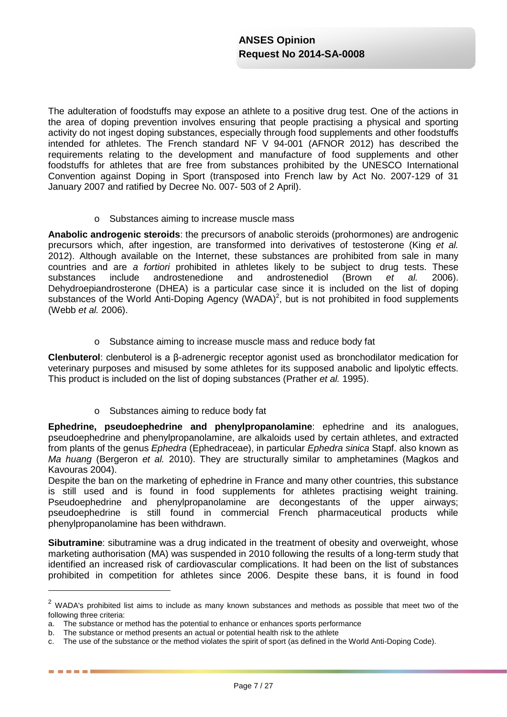The adulteration of foodstuffs may expose an athlete to a positive drug test. One of the actions in the area of doping prevention involves ensuring that people practising a physical and sporting activity do not ingest doping substances, especially through food supplements and other foodstuffs intended for athletes. The French standard NF V 94-001 (AFNOR 2012) has described the requirements relating to the development and manufacture of food supplements and other foodstuffs for athletes that are free from substances prohibited by the UNESCO International Convention against Doping in Sport (transposed into French law by Act No. 2007-129 of 31 January 2007 and ratified by Decree No. 007- 503 of 2 April).

o Substances aiming to increase muscle mass

**Anabolic androgenic steroids**: the precursors of anabolic steroids (prohormones) are androgenic precursors which, after ingestion, are transformed into derivatives of testosterone (King *et al.* 2012). Although available on the Internet, these substances are prohibited from sale in many countries and are *a fortiori* prohibited in athletes likely to be subject to drug tests. These substances include androstenedione and androstenediol (Brown *et al.* 2006). Dehydroepiandrosterone (DHEA) is a particular case since it is included on the list of doping substances of the World Anti-Doping Agency (WADA)<sup>2</sup>, but is not prohibited in food supplements (Webb *et al.* 2006).

o Substance aiming to increase muscle mass and reduce body fat

**Clenbuterol**: clenbuterol is a β-adrenergic receptor agonist used as bronchodilator medication for veterinary purposes and misused by some athletes for its supposed anabolic and lipolytic effects. This product is included on the list of doping substances (Prather *et al.* 1995).

o Substances aiming to reduce body fat

**Ephedrine, pseudoephedrine and phenylpropanolamine**: ephedrine and its analogues, pseudoephedrine and phenylpropanolamine, are alkaloids used by certain athletes, and extracted from plants of the genus *Ephedra* (Ephedraceae), in particular *Ephedra sinica* Stapf. also known as *Ma huang* (Bergeron *et al.* 2010). They are structurally similar to amphetamines (Magkos and Kavouras 2004).

Despite the ban on the marketing of ephedrine in France and many other countries, this substance is still used and is found in food supplements for athletes practising weight training. Pseudoephedrine and phenylpropanolamine are decongestants of the upper airways; pseudoephedrine is still found in commercial French pharmaceutical products while phenylpropanolamine has been withdrawn.

**Sibutramine**: sibutramine was a drug indicated in the treatment of obesity and overweight, whose marketing authorisation (MA) was suspended in 2010 following the results of a long-term study that identified an increased risk of cardiovascular complications. It had been on the list of substances prohibited in competition for athletes since 2006. Despite these bans, it is found in food

-

. . . . .

 $2$  WADA's prohibited list aims to include as many known substances and methods as possible that meet two of the following three criteria:

a. The substance or method has the potential to enhance or enhances sports performance

b. The substance or method presents an actual or potential health risk to the athlete

c. The use of the substance or the method violates the spirit of sport (as defined in the World Anti-Doping Code).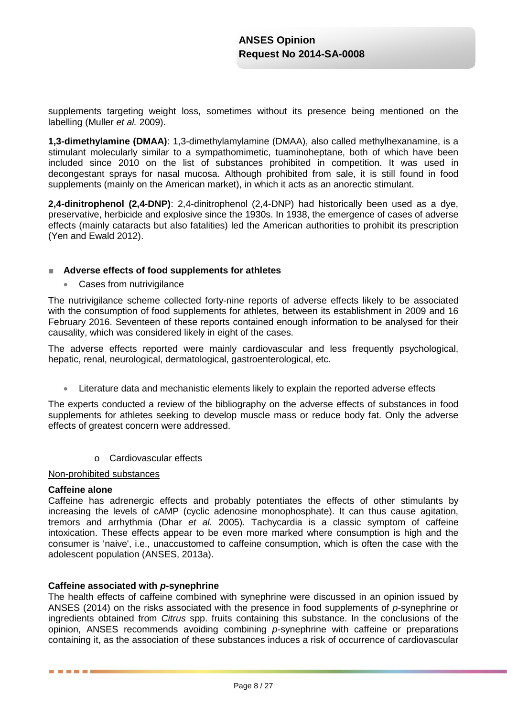supplements targeting weight loss, sometimes without its presence being mentioned on the labelling (Muller *et al.* 2009).

**1,3-dimethylamine (DMAA)**: 1,3-dimethylamylamine (DMAA), also called methylhexanamine, is a stimulant molecularly similar to a sympathomimetic, tuaminoheptane, both of which have been included since 2010 on the list of substances prohibited in competition. It was used in decongestant sprays for nasal mucosa. Although prohibited from sale, it is still found in food supplements (mainly on the American market), in which it acts as an anorectic stimulant.

**2,4-dinitrophenol (2,4-DNP)**: 2,4-dinitrophenol (2,4-DNP) had historically been used as a dye, preservative, herbicide and explosive since the 1930s. In 1938, the emergence of cases of adverse effects (mainly cataracts but also fatalities) led the American authorities to prohibit its prescription (Yen and Ewald 2012).

## ■ **Adverse effects of food supplements for athletes**

• Cases from nutrivigilance

The nutrivigilance scheme collected forty-nine reports of adverse effects likely to be associated with the consumption of food supplements for athletes, between its establishment in 2009 and 16 February 2016. Seventeen of these reports contained enough information to be analysed for their causality, which was considered likely in eight of the cases.

The adverse effects reported were mainly cardiovascular and less frequently psychological, hepatic, renal, neurological, dermatological, gastroenterological, etc.

• Literature data and mechanistic elements likely to explain the reported adverse effects

The experts conducted a review of the bibliography on the adverse effects of substances in food supplements for athletes seeking to develop muscle mass or reduce body fat. Only the adverse effects of greatest concern were addressed.

o Cardiovascular effects

## Non-prohibited substances

## **Caffeine alone**

. . . .

Caffeine has adrenergic effects and probably potentiates the effects of other stimulants by increasing the levels of cAMP (cyclic adenosine monophosphate). It can thus cause agitation, tremors and arrhythmia (Dhar *et al.* 2005). Tachycardia is a classic symptom of caffeine intoxication. These effects appear to be even more marked where consumption is high and the consumer is 'naive', i.e., unaccustomed to caffeine consumption, which is often the case with the adolescent population (ANSES, 2013a).

## **Caffeine associated with** *p***-synephrine**

The health effects of caffeine combined with synephrine were discussed in an opinion issued by ANSES (2014) on the risks associated with the presence in food supplements of *p-*synephrine or ingredients obtained from *Citrus* spp. fruits containing this substance. In the conclusions of the opinion, ANSES recommends avoiding combining *p-*synephrine with caffeine or preparations containing it, as the association of these substances induces a risk of occurrence of cardiovascular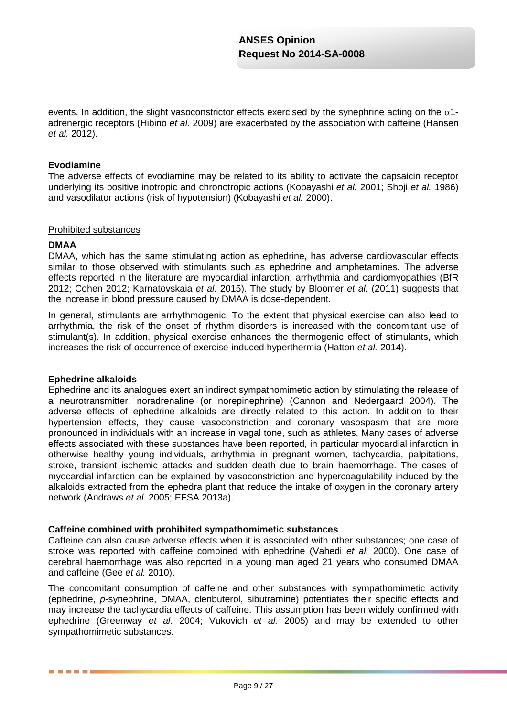events. In addition, the slight vasoconstrictor effects exercised by the synephrine acting on the  $\alpha$ 1adrenergic receptors (Hibino *et al.* 2009) are exacerbated by the association with caffeine (Hansen *et al.* 2012).

## **Evodiamine**

The adverse effects of evodiamine may be related to its ability to activate the capsaicin receptor underlying its positive inotropic and chronotropic actions (Kobayashi *et al.* 2001; Shoji *et al.* 1986) and vasodilator actions (risk of hypotension) (Kobayashi *et al.* 2000).

## Prohibited substances

## **DMAA**

DMAA, which has the same stimulating action as ephedrine, has adverse cardiovascular effects similar to those observed with stimulants such as ephedrine and amphetamines. The adverse effects reported in the literature are myocardial infarction, arrhythmia and cardiomyopathies (BfR 2012; Cohen 2012; Karnatovskaia *et al.* 2015). The study by Bloomer *et al.* (2011) suggests that the increase in blood pressure caused by DMAA is dose-dependent.

In general, stimulants are arrhythmogenic. To the extent that physical exercise can also lead to arrhythmia, the risk of the onset of rhythm disorders is increased with the concomitant use of stimulant(s). In addition, physical exercise enhances the thermogenic effect of stimulants, which increases the risk of occurrence of exercise-induced hyperthermia (Hatton *et al.* 2014).

## **Ephedrine alkaloids**

Ephedrine and its analogues exert an indirect sympathomimetic action by stimulating the release of a neurotransmitter, noradrenaline (or norepinephrine) (Cannon and Nedergaard 2004). The adverse effects of ephedrine alkaloids are directly related to this action. In addition to their hypertension effects, they cause vasoconstriction and coronary vasospasm that are more pronounced in individuals with an increase in vagal tone, such as athletes. Many cases of adverse effects associated with these substances have been reported, in particular myocardial infarction in otherwise healthy young individuals, arrhythmia in pregnant women, tachycardia, palpitations, stroke, transient ischemic attacks and sudden death due to brain haemorrhage. The cases of myocardial infarction can be explained by vasoconstriction and hypercoagulability induced by the alkaloids extracted from the ephedra plant that reduce the intake of oxygen in the coronary artery network (Andraws *et al.* 2005; EFSA 2013a).

## **Caffeine combined with prohibited sympathomimetic substances**

Caffeine can also cause adverse effects when it is associated with other substances; one case of stroke was reported with caffeine combined with ephedrine (Vahedi *et al.* 2000). One case of cerebral haemorrhage was also reported in a young man aged 21 years who consumed DMAA and caffeine (Gee *et al.* 2010).

The concomitant consumption of caffeine and other substances with sympathomimetic activity (ephedrine, *p*-synephrine, DMAA, clenbuterol, sibutramine) potentiates their specific effects and may increase the tachycardia effects of caffeine. This assumption has been widely confirmed with ephedrine (Greenway *et al.* 2004; Vukovich *et al.* 2005) and may be extended to other sympathomimetic substances.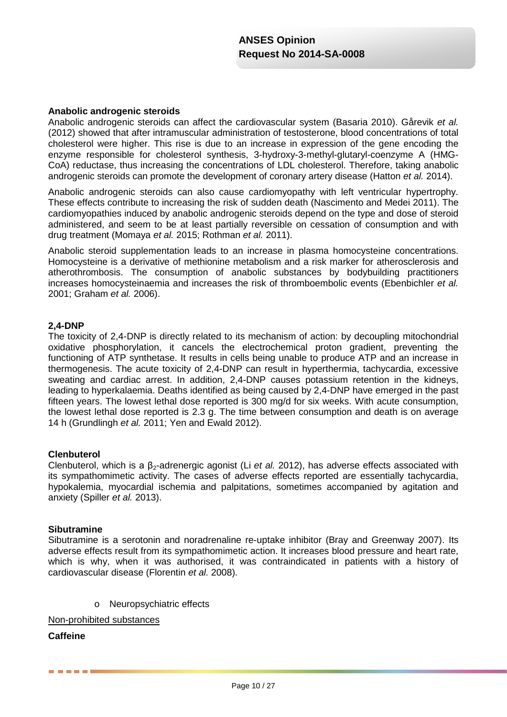#### **Anabolic androgenic steroids**

Anabolic androgenic steroids can affect the cardiovascular system (Basaria 2010). Gårevik *et al.* (2012) showed that after intramuscular administration of testosterone, blood concentrations of total cholesterol were higher. This rise is due to an increase in expression of the gene encoding the enzyme responsible for cholesterol synthesis, 3-hydroxy-3-methyl-glutaryl-coenzyme A (HMG-CoA) reductase, thus increasing the concentrations of LDL cholesterol. Therefore, taking anabolic androgenic steroids can promote the development of coronary artery disease (Hatton *et al.* 2014).

Anabolic androgenic steroids can also cause cardiomyopathy with left ventricular hypertrophy. These effects contribute to increasing the risk of sudden death (Nascimento and Medei 2011). The cardiomyopathies induced by anabolic androgenic steroids depend on the type and dose of steroid administered, and seem to be at least partially reversible on cessation of consumption and with drug treatment (Momaya *et al.* 2015; Rothman *et al.* 2011).

Anabolic steroid supplementation leads to an increase in plasma homocysteine concentrations. Homocysteine is a derivative of methionine metabolism and a risk marker for atherosclerosis and atherothrombosis. The consumption of anabolic substances by bodybuilding practitioners increases homocysteinaemia and increases the risk of thromboembolic events (Ebenbichler *et al.* 2001; Graham *et al.* 2006).

## **2,4-DNP**

The toxicity of 2,4-DNP is directly related to its mechanism of action: by decoupling mitochondrial oxidative phosphorylation, it cancels the electrochemical proton gradient, preventing the functioning of ATP synthetase. It results in cells being unable to produce ATP and an increase in thermogenesis. The acute toxicity of 2,4-DNP can result in hyperthermia, tachycardia, excessive sweating and cardiac arrest. In addition, 2,4-DNP causes potassium retention in the kidneys, leading to hyperkalaemia. Deaths identified as being caused by 2,4-DNP have emerged in the past fifteen years. The lowest lethal dose reported is 300 mg/d for six weeks. With acute consumption, the lowest lethal dose reported is 2.3 g. The time between consumption and death is on average 14 h (Grundlingh *et al.* 2011; Yen and Ewald 2012).

## **Clenbuterol**

Clenbuterol, which is a β<sub>2</sub>-adrenergic agonist (Li *et al.* 2012), has adverse effects associated with its sympathomimetic activity. The cases of adverse effects reported are essentially tachycardia, hypokalemia, myocardial ischemia and palpitations, sometimes accompanied by agitation and anxiety (Spiller *et al.* 2013).

## **Sibutramine**

Sibutramine is a serotonin and noradrenaline re-uptake inhibitor (Bray and Greenway 2007). Its adverse effects result from its sympathomimetic action. It increases blood pressure and heart rate, which is why, when it was authorised, it was contraindicated in patients with a history of cardiovascular disease (Florentin *et al.* 2008).

o Neuropsychiatric effects

Non-prohibited substances

## **Caffeine**

<u> La Barat de la B</u>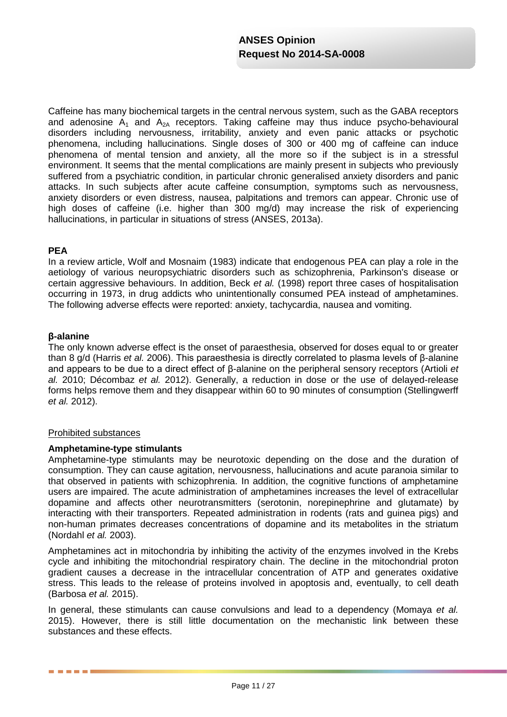Caffeine has many biochemical targets in the central nervous system, such as the GABA receptors and adenosine  $A_1$  and  $A_{2A}$  receptors. Taking caffeine may thus induce psycho-behavioural disorders including nervousness, irritability, anxiety and even panic attacks or psychotic phenomena, including hallucinations. Single doses of 300 or 400 mg of caffeine can induce phenomena of mental tension and anxiety, all the more so if the subject is in a stressful environment. It seems that the mental complications are mainly present in subjects who previously suffered from a psychiatric condition, in particular chronic generalised anxiety disorders and panic attacks. In such subjects after acute caffeine consumption, symptoms such as nervousness, anxiety disorders or even distress, nausea, palpitations and tremors can appear. Chronic use of high doses of caffeine (i.e. higher than 300 mg/d) may increase the risk of experiencing hallucinations, in particular in situations of stress (ANSES, 2013a).

## **PEA**

In a review article, Wolf and Mosnaim (1983) indicate that endogenous PEA can play a role in the aetiology of various neuropsychiatric disorders such as schizophrenia, Parkinson's disease or certain aggressive behaviours. In addition, Beck *et al.* (1998) report three cases of hospitalisation occurring in 1973, in drug addicts who unintentionally consumed PEA instead of amphetamines. The following adverse effects were reported: anxiety, tachycardia, nausea and vomiting.

## **β-alanine**

The only known adverse effect is the onset of paraesthesia, observed for doses equal to or greater than 8 g/d (Harris *et al.* 2006). This paraesthesia is directly correlated to plasma levels of β-alanine and appears to be due to a direct effect of β-alanine on the peripheral sensory receptors (Artioli *et al.* 2010; Décombaz *et al.* 2012). Generally, a reduction in dose or the use of delayed-release forms helps remove them and they disappear within 60 to 90 minutes of consumption (Stellingwerff *et al.* 2012).

## Prohibited substances

## **Amphetamine-type stimulants**

Amphetamine-type stimulants may be neurotoxic depending on the dose and the duration of consumption. They can cause agitation, nervousness, hallucinations and acute paranoia similar to that observed in patients with schizophrenia. In addition, the cognitive functions of amphetamine users are impaired. The acute administration of amphetamines increases the level of extracellular dopamine and affects other neurotransmitters (serotonin, norepinephrine and glutamate) by interacting with their transporters. Repeated administration in rodents (rats and guinea pigs) and non-human primates decreases concentrations of dopamine and its metabolites in the striatum (Nordahl *et al.* 2003).

Amphetamines act in mitochondria by inhibiting the activity of the enzymes involved in the Krebs cycle and inhibiting the mitochondrial respiratory chain. The decline in the mitochondrial proton gradient causes a decrease in the intracellular concentration of ATP and generates oxidative stress. This leads to the release of proteins involved in apoptosis and, eventually, to cell death (Barbosa *et al.* 2015).

In general, these stimulants can cause convulsions and lead to a dependency (Momaya *et al.* 2015). However, there is still little documentation on the mechanistic link between these substances and these effects.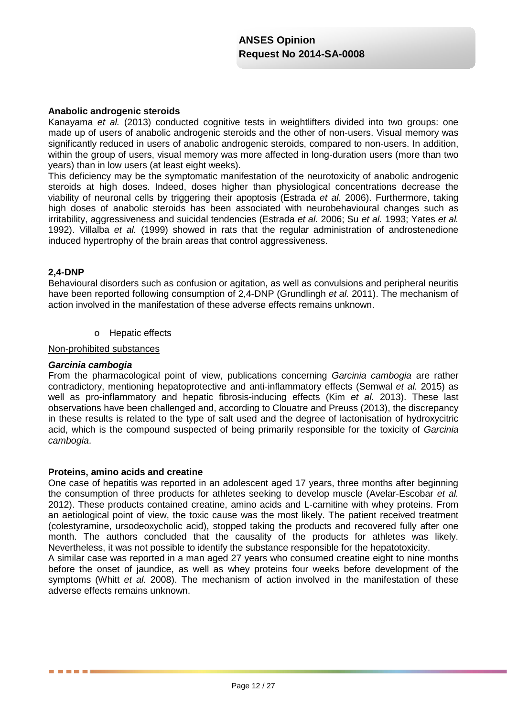## **Anabolic androgenic steroids**

Kanayama *et al.* (2013) conducted cognitive tests in weightlifters divided into two groups: one made up of users of anabolic androgenic steroids and the other of non-users. Visual memory was significantly reduced in users of anabolic androgenic steroids, compared to non-users. In addition, within the group of users, visual memory was more affected in long-duration users (more than two years) than in low users (at least eight weeks).

This deficiency may be the symptomatic manifestation of the neurotoxicity of anabolic androgenic steroids at high doses. Indeed, doses higher than physiological concentrations decrease the viability of neuronal cells by triggering their apoptosis (Estrada *et al.* 2006). Furthermore, taking high doses of anabolic steroids has been associated with neurobehavioural changes such as irritability, aggressiveness and suicidal tendencies (Estrada *et al.* 2006; Su *et al.* 1993; Yates *et al.* 1992). Villalba *et al.* (1999) showed in rats that the regular administration of androstenedione induced hypertrophy of the brain areas that control aggressiveness.

## **2,4-DNP**

Behavioural disorders such as confusion or agitation, as well as convulsions and peripheral neuritis have been reported following consumption of 2,4-DNP (Grundlingh *et al.* 2011). The mechanism of action involved in the manifestation of these adverse effects remains unknown.

o Hepatic effects

Non-prohibited substances

## *Garcinia cambogia*

. . . . .

From the pharmacological point of view, publications concerning *Garcinia cambogia* are rather contradictory, mentioning hepatoprotective and anti-inflammatory effects (Semwal *et al.* 2015) as well as pro-inflammatory and hepatic fibrosis-inducing effects (Kim *et al.* 2013). These last observations have been challenged and, according to Clouatre and Preuss (2013), the discrepancy in these results is related to the type of salt used and the degree of lactonisation of hydroxycitric acid, which is the compound suspected of being primarily responsible for the toxicity of *Garcinia cambogia*.

## **Proteins, amino acids and creatine**

One case of hepatitis was reported in an adolescent aged 17 years, three months after beginning the consumption of three products for athletes seeking to develop muscle (Avelar-Escobar *et al.* 2012). These products contained creatine, amino acids and L-carnitine with whey proteins. From an aetiological point of view, the toxic cause was the most likely. The patient received treatment (colestyramine, ursodeoxycholic acid), stopped taking the products and recovered fully after one month. The authors concluded that the causality of the products for athletes was likely. Nevertheless, it was not possible to identify the substance responsible for the hepatotoxicity.

A similar case was reported in a man aged 27 years who consumed creatine eight to nine months before the onset of jaundice, as well as whey proteins four weeks before development of the symptoms (Whitt *et al.* 2008). The mechanism of action involved in the manifestation of these adverse effects remains unknown.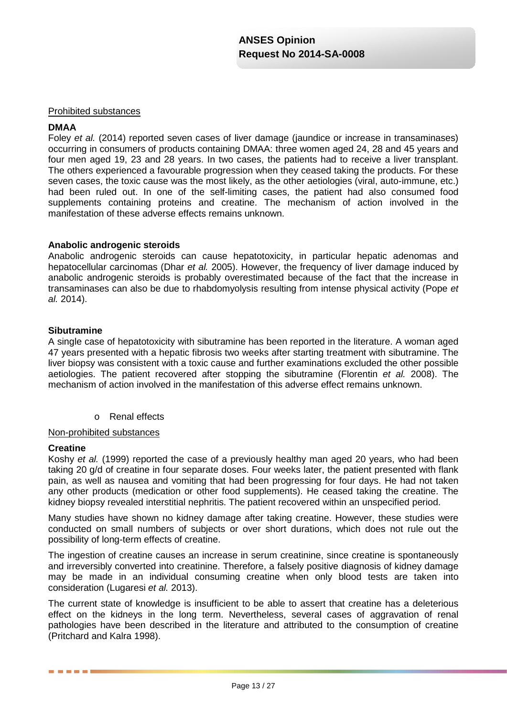## Prohibited substances

## **DMAA**

Foley *et al.* (2014) reported seven cases of liver damage (jaundice or increase in transaminases) occurring in consumers of products containing DMAA: three women aged 24, 28 and 45 years and four men aged 19, 23 and 28 years. In two cases, the patients had to receive a liver transplant. The others experienced a favourable progression when they ceased taking the products. For these seven cases, the toxic cause was the most likely, as the other aetiologies (viral, auto-immune, etc.) had been ruled out. In one of the self-limiting cases, the patient had also consumed food supplements containing proteins and creatine. The mechanism of action involved in the manifestation of these adverse effects remains unknown.

## **Anabolic androgenic steroids**

Anabolic androgenic steroids can cause hepatotoxicity, in particular hepatic adenomas and hepatocellular carcinomas (Dhar *et al.* 2005). However, the frequency of liver damage induced by anabolic androgenic steroids is probably overestimated because of the fact that the increase in transaminases can also be due to rhabdomyolysis resulting from intense physical activity (Pope *et al.* 2014).

## **Sibutramine**

A single case of hepatotoxicity with sibutramine has been reported in the literature. A woman aged 47 years presented with a hepatic fibrosis two weeks after starting treatment with sibutramine. The liver biopsy was consistent with a toxic cause and further examinations excluded the other possible aetiologies. The patient recovered after stopping the sibutramine (Florentin *et al.* 2008). The mechanism of action involved in the manifestation of this adverse effect remains unknown.

o Renal effects

## Non-prohibited substances

## **Creatine**

Koshy *et al.* (1999) reported the case of a previously healthy man aged 20 years, who had been taking 20 g/d of creatine in four separate doses. Four weeks later, the patient presented with flank pain, as well as nausea and vomiting that had been progressing for four days. He had not taken any other products (medication or other food supplements). He ceased taking the creatine. The kidney biopsy revealed interstitial nephritis. The patient recovered within an unspecified period.

Many studies have shown no kidney damage after taking creatine. However, these studies were conducted on small numbers of subjects or over short durations, which does not rule out the possibility of long-term effects of creatine.

The ingestion of creatine causes an increase in serum creatinine, since creatine is spontaneously and irreversibly converted into creatinine. Therefore, a falsely positive diagnosis of kidney damage may be made in an individual consuming creatine when only blood tests are taken into consideration (Lugaresi *et al.* 2013).

The current state of knowledge is insufficient to be able to assert that creatine has a deleterious effect on the kidneys in the long term. Nevertheless, several cases of aggravation of renal pathologies have been described in the literature and attributed to the consumption of creatine (Pritchard and Kalra 1998).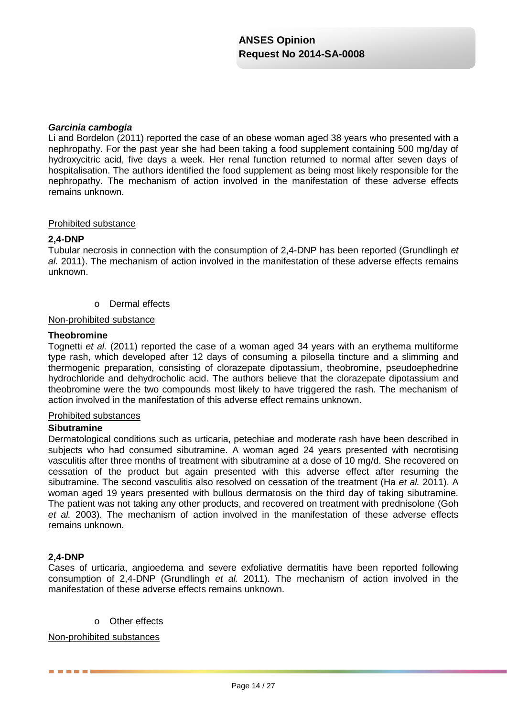## *Garcinia cambogia*

Li and Bordelon (2011) reported the case of an obese woman aged 38 years who presented with a nephropathy. For the past year she had been taking a food supplement containing 500 mg/day of hydroxycitric acid, five days a week. Her renal function returned to normal after seven days of hospitalisation. The authors identified the food supplement as being most likely responsible for the nephropathy. The mechanism of action involved in the manifestation of these adverse effects remains unknown.

## Prohibited substance

## **2,4-DNP**

Tubular necrosis in connection with the consumption of 2,4-DNP has been reported (Grundlingh *et al.* 2011). The mechanism of action involved in the manifestation of these adverse effects remains unknown.

o Dermal effects

## Non-prohibited substance

## **Theobromine**

Tognetti *et al.* (2011) reported the case of a woman aged 34 years with an erythema multiforme type rash, which developed after 12 days of consuming a pilosella tincture and a slimming and thermogenic preparation, consisting of clorazepate dipotassium, theobromine, pseudoephedrine hydrochloride and dehydrocholic acid. The authors believe that the clorazepate dipotassium and theobromine were the two compounds most likely to have triggered the rash. The mechanism of action involved in the manifestation of this adverse effect remains unknown.

## Prohibited substances

## **Sibutramine**

Dermatological conditions such as urticaria, petechiae and moderate rash have been described in subjects who had consumed sibutramine. A woman aged 24 years presented with necrotising vasculitis after three months of treatment with sibutramine at a dose of 10 mg/d. She recovered on cessation of the product but again presented with this adverse effect after resuming the sibutramine. The second vasculitis also resolved on cessation of the treatment (Ha *et al.* 2011). A woman aged 19 years presented with bullous dermatosis on the third day of taking sibutramine. The patient was not taking any other products, and recovered on treatment with prednisolone (Goh *et al.* 2003). The mechanism of action involved in the manifestation of these adverse effects remains unknown.

## **2,4-DNP**

. . . . .

Cases of urticaria, angioedema and severe exfoliative dermatitis have been reported following consumption of 2,4-DNP (Grundlingh *et al.* 2011). The mechanism of action involved in the manifestation of these adverse effects remains unknown.

o Other effects

## Non-prohibited substances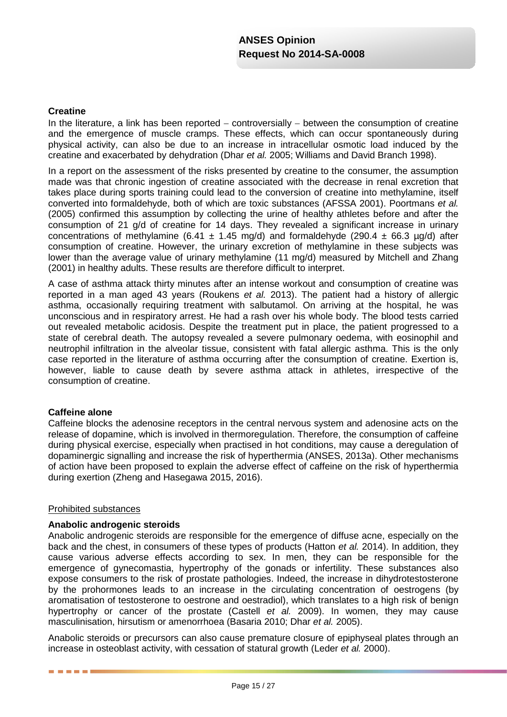## **Creatine**

In the literature, a link has been reported − controversially − between the consumption of creatine and the emergence of muscle cramps. These effects, which can occur spontaneously during physical activity, can also be due to an increase in intracellular osmotic load induced by the creatine and exacerbated by dehydration (Dhar *et al.* 2005; Williams and David Branch 1998).

In a report on the assessment of the risks presented by creatine to the consumer, the assumption made was that chronic ingestion of creatine associated with the decrease in renal excretion that takes place during sports training could lead to the conversion of creatine into methylamine, itself converted into formaldehyde, both of which are toxic substances (AFSSA 2001). Poortmans *et al.* (2005) confirmed this assumption by collecting the urine of healthy athletes before and after the consumption of 21 g/d of creatine for 14 days. They revealed a significant increase in urinary concentrations of methylamine (6.41  $\pm$  1.45 mg/d) and formaldehyde (290.4  $\pm$  66.3 µg/d) after consumption of creatine. However, the urinary excretion of methylamine in these subjects was lower than the average value of urinary methylamine (11 mg/d) measured by Mitchell and Zhang (2001) in healthy adults. These results are therefore difficult to interpret.

A case of asthma attack thirty minutes after an intense workout and consumption of creatine was reported in a man aged 43 years (Roukens *et al.* 2013). The patient had a history of allergic asthma, occasionally requiring treatment with salbutamol. On arriving at the hospital, he was unconscious and in respiratory arrest. He had a rash over his whole body. The blood tests carried out revealed metabolic acidosis. Despite the treatment put in place, the patient progressed to a state of cerebral death. The autopsy revealed a severe pulmonary oedema, with eosinophil and neutrophil infiltration in the alveolar tissue, consistent with fatal allergic asthma. This is the only case reported in the literature of asthma occurring after the consumption of creatine. Exertion is, however, liable to cause death by severe asthma attack in athletes, irrespective of the consumption of creatine.

## **Caffeine alone**

Caffeine blocks the adenosine receptors in the central nervous system and adenosine acts on the release of dopamine, which is involved in thermoregulation. Therefore, the consumption of caffeine during physical exercise, especially when practised in hot conditions, may cause a deregulation of dopaminergic signalling and increase the risk of hyperthermia (ANSES, 2013a). Other mechanisms of action have been proposed to explain the adverse effect of caffeine on the risk of hyperthermia during exertion (Zheng and Hasegawa 2015, 2016).

## Prohibited substances

. . . .

## **Anabolic androgenic steroids**

Anabolic androgenic steroids are responsible for the emergence of diffuse acne, especially on the back and the chest, in consumers of these types of products (Hatton *et al.* 2014). In addition, they cause various adverse effects according to sex. In men, they can be responsible for the emergence of gynecomastia, hypertrophy of the gonads or infertility. These substances also expose consumers to the risk of prostate pathologies. Indeed, the increase in dihydrotestosterone by the prohormones leads to an increase in the circulating concentration of oestrogens (by aromatisation of testosterone to oestrone and oestradiol), which translates to a high risk of benign hypertrophy or cancer of the prostate (Castell *et al.* 2009). In women, they may cause masculinisation, hirsutism or amenorrhoea (Basaria 2010; Dhar *et al.* 2005).

Anabolic steroids or precursors can also cause premature closure of epiphyseal plates through an increase in osteoblast activity, with cessation of statural growth (Leder *et al.* 2000).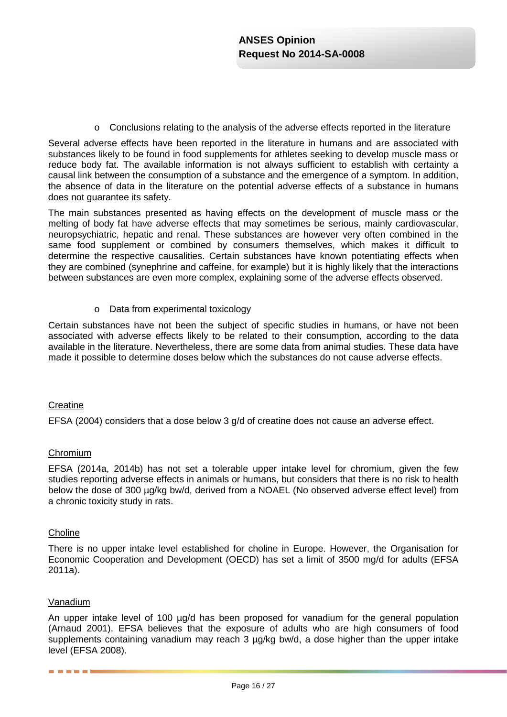$\circ$  Conclusions relating to the analysis of the adverse effects reported in the literature

Several adverse effects have been reported in the literature in humans and are associated with substances likely to be found in food supplements for athletes seeking to develop muscle mass or reduce body fat. The available information is not always sufficient to establish with certainty a causal link between the consumption of a substance and the emergence of a symptom. In addition, the absence of data in the literature on the potential adverse effects of a substance in humans does not guarantee its safety.

The main substances presented as having effects on the development of muscle mass or the melting of body fat have adverse effects that may sometimes be serious, mainly cardiovascular, neuropsychiatric, hepatic and renal. These substances are however very often combined in the same food supplement or combined by consumers themselves, which makes it difficult to determine the respective causalities. Certain substances have known potentiating effects when they are combined (synephrine and caffeine, for example) but it is highly likely that the interactions between substances are even more complex, explaining some of the adverse effects observed.

o Data from experimental toxicology

Certain substances have not been the subject of specific studies in humans, or have not been associated with adverse effects likely to be related to their consumption, according to the data available in the literature. Nevertheless, there are some data from animal studies. These data have made it possible to determine doses below which the substances do not cause adverse effects.

## **Creatine**

EFSA (2004) considers that a dose below 3 g/d of creatine does not cause an adverse effect.

## Chromium

EFSA (2014a, 2014b) has not set a tolerable upper intake level for chromium, given the few studies reporting adverse effects in animals or humans, but considers that there is no risk to health below the dose of 300 µg/kg bw/d, derived from a NOAEL (No observed adverse effect level) from a chronic toxicity study in rats.

## **Choline**

There is no upper intake level established for choline in Europe. However, the Organisation for Economic Cooperation and Development (OECD) has set a limit of 3500 mg/d for adults (EFSA 2011a).

## Vanadium

. . . . . .

An upper intake level of 100 µg/d has been proposed for vanadium for the general population (Arnaud 2001). EFSA believes that the exposure of adults who are high consumers of food supplements containing vanadium may reach 3 µg/kg bw/d, a dose higher than the upper intake level (EFSA 2008).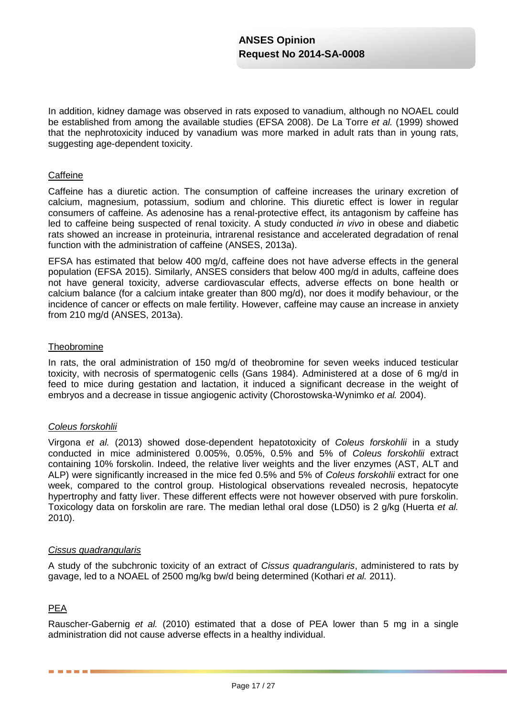In addition, kidney damage was observed in rats exposed to vanadium, although no NOAEL could be established from among the available studies (EFSA 2008). De La Torre *et al.* (1999) showed that the nephrotoxicity induced by vanadium was more marked in adult rats than in young rats, suggesting age-dependent toxicity.

## **Caffeine**

Caffeine has a diuretic action. The consumption of caffeine increases the urinary excretion of calcium, magnesium, potassium, sodium and chlorine. This diuretic effect is lower in regular consumers of caffeine. As adenosine has a renal-protective effect, its antagonism by caffeine has led to caffeine being suspected of renal toxicity. A study conducted *in vivo* in obese and diabetic rats showed an increase in proteinuria, intrarenal resistance and accelerated degradation of renal function with the administration of caffeine (ANSES, 2013a).

EFSA has estimated that below 400 mg/d, caffeine does not have adverse effects in the general population (EFSA 2015). Similarly, ANSES considers that below 400 mg/d in adults, caffeine does not have general toxicity, adverse cardiovascular effects, adverse effects on bone health or calcium balance (for a calcium intake greater than 800 mg/d), nor does it modify behaviour, or the incidence of cancer or effects on male fertility. However, caffeine may cause an increase in anxiety from 210 mg/d (ANSES, 2013a).

## **Theobromine**

In rats, the oral administration of 150 mg/d of theobromine for seven weeks induced testicular toxicity, with necrosis of spermatogenic cells (Gans 1984). Administered at a dose of 6 mg/d in feed to mice during gestation and lactation, it induced a significant decrease in the weight of embryos and a decrease in tissue angiogenic activity (Chorostowska-Wynimko *et al.* 2004).

## *Coleus forskohlii*

Virgona *et al.* (2013) showed dose-dependent hepatotoxicity of *Coleus forskohlii* in a study conducted in mice administered 0.005%, 0.05%, 0.5% and 5% of *Coleus forskohlii* extract containing 10% forskolin. Indeed, the relative liver weights and the liver enzymes (AST, ALT and ALP) were significantly increased in the mice fed 0.5% and 5% of *Coleus forskohlii* extract for one week, compared to the control group. Histological observations revealed necrosis, hepatocyte hypertrophy and fatty liver. These different effects were not however observed with pure forskolin. Toxicology data on forskolin are rare. The median lethal oral dose (LD50) is 2 g/kg (Huerta *et al.* 2010).

## *Cissus quadrangularis*

A study of the subchronic toxicity of an extract of *Cissus quadrangularis*, administered to rats by gavage, led to a NOAEL of 2500 mg/kg bw/d being determined (Kothari *et al.* 2011).

## PEA

Rauscher-Gabernig *et al.* (2010) estimated that a dose of PEA lower than 5 mg in a single administration did not cause adverse effects in a healthy individual.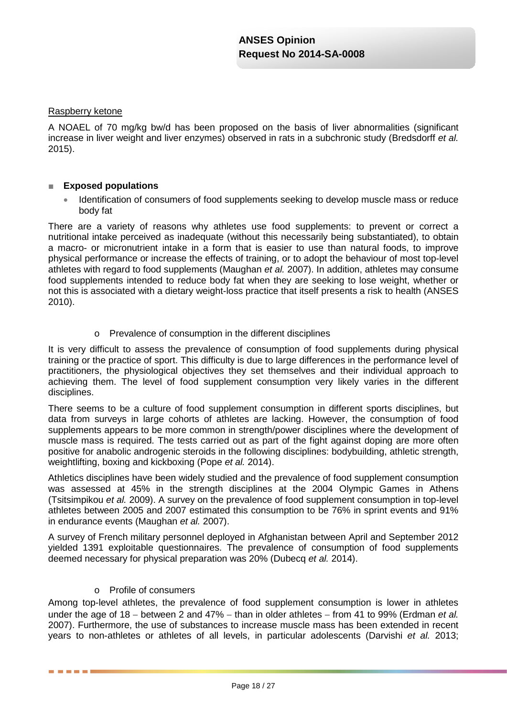## Raspberry ketone

A NOAEL of 70 mg/kg bw/d has been proposed on the basis of liver abnormalities (significant increase in liver weight and liver enzymes) observed in rats in a subchronic study (Bredsdorff *et al.* 2015).

## ■ **Exposed populations**

• Identification of consumers of food supplements seeking to develop muscle mass or reduce body fat

There are a variety of reasons why athletes use food supplements: to prevent or correct a nutritional intake perceived as inadequate (without this necessarily being substantiated), to obtain a macro- or micronutrient intake in a form that is easier to use than natural foods, to improve physical performance or increase the effects of training, or to adopt the behaviour of most top-level athletes with regard to food supplements (Maughan *et al.* 2007). In addition, athletes may consume food supplements intended to reduce body fat when they are seeking to lose weight, whether or not this is associated with a dietary weight-loss practice that itself presents a risk to health (ANSES 2010).

o Prevalence of consumption in the different disciplines

It is very difficult to assess the prevalence of consumption of food supplements during physical training or the practice of sport. This difficulty is due to large differences in the performance level of practitioners, the physiological objectives they set themselves and their individual approach to achieving them. The level of food supplement consumption very likely varies in the different disciplines.

There seems to be a culture of food supplement consumption in different sports disciplines, but data from surveys in large cohorts of athletes are lacking. However, the consumption of food supplements appears to be more common in strength/power disciplines where the development of muscle mass is required. The tests carried out as part of the fight against doping are more often positive for anabolic androgenic steroids in the following disciplines: bodybuilding, athletic strength, weightlifting, boxing and kickboxing (Pope *et al.* 2014).

Athletics disciplines have been widely studied and the prevalence of food supplement consumption was assessed at 45% in the strength disciplines at the 2004 Olympic Games in Athens (Tsitsimpikou *et al.* 2009). A survey on the prevalence of food supplement consumption in top-level athletes between 2005 and 2007 estimated this consumption to be 76% in sprint events and 91% in endurance events (Maughan *et al.* 2007).

A survey of French military personnel deployed in Afghanistan between April and September 2012 yielded 1391 exploitable questionnaires. The prevalence of consumption of food supplements deemed necessary for physical preparation was 20% (Dubecq *et al.* 2014).

## o Profile of consumers

Among top-level athletes, the prevalence of food supplement consumption is lower in athletes under the age of 18 − between 2 and 47% − than in older athletes − from 41 to 99% (Erdman *et al.* 2007). Furthermore, the use of substances to increase muscle mass has been extended in recent years to non-athletes or athletes of all levels, in particular adolescents (Darvishi *et al.* 2013;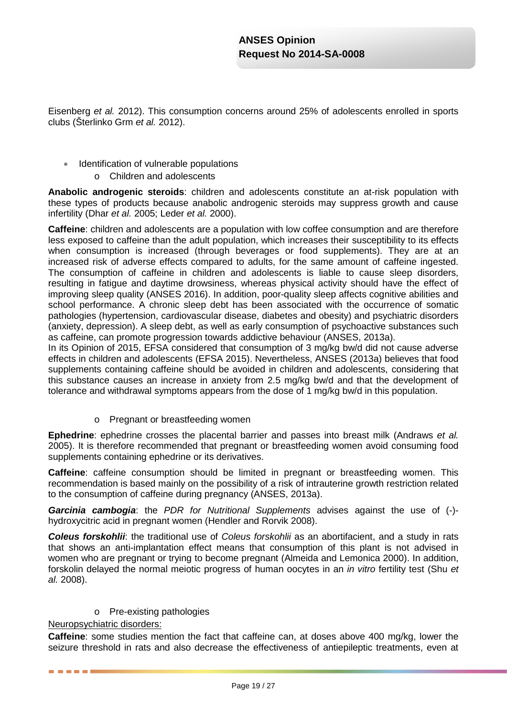Eisenberg *et al.* 2012). This consumption concerns around 25% of adolescents enrolled in sports clubs (Šterlinko Grm *et al.* 2012).

- Identification of vulnerable populations
	- o Children and adolescents

**Anabolic androgenic steroids**: children and adolescents constitute an at-risk population with these types of products because anabolic androgenic steroids may suppress growth and cause infertility (Dhar *et al.* 2005; Leder *et al.* 2000).

**Caffeine**: children and adolescents are a population with low coffee consumption and are therefore less exposed to caffeine than the adult population, which increases their susceptibility to its effects when consumption is increased (through beverages or food supplements). They are at an increased risk of adverse effects compared to adults, for the same amount of caffeine ingested. The consumption of caffeine in children and adolescents is liable to cause sleep disorders, resulting in fatigue and daytime drowsiness, whereas physical activity should have the effect of improving sleep quality (ANSES 2016). In addition, poor-quality sleep affects cognitive abilities and school performance. A chronic sleep debt has been associated with the occurrence of somatic pathologies (hypertension, cardiovascular disease, diabetes and obesity) and psychiatric disorders (anxiety, depression). A sleep debt, as well as early consumption of psychoactive substances such as caffeine, can promote progression towards addictive behaviour (ANSES, 2013a).

In its Opinion of 2015, EFSA considered that consumption of 3 mg/kg bw/d did not cause adverse effects in children and adolescents (EFSA 2015). Nevertheless, ANSES (2013a) believes that food supplements containing caffeine should be avoided in children and adolescents, considering that this substance causes an increase in anxiety from 2.5 mg/kg bw/d and that the development of tolerance and withdrawal symptoms appears from the dose of 1 mg/kg bw/d in this population.

o Pregnant or breastfeeding women

**Ephedrine**: ephedrine crosses the placental barrier and passes into breast milk (Andraws *et al.* 2005). It is therefore recommended that pregnant or breastfeeding women avoid consuming food supplements containing ephedrine or its derivatives.

**Caffeine**: caffeine consumption should be limited in pregnant or breastfeeding women. This recommendation is based mainly on the possibility of a risk of intrauterine growth restriction related to the consumption of caffeine during pregnancy (ANSES, 2013a).

*Garcinia cambogia*: the *PDR for Nutritional Supplements* advises against the use of (-) hydroxycitric acid in pregnant women (Hendler and Rorvik 2008).

*Coleus forskohlii*: the traditional use of *Coleus forskohlii* as an abortifacient, and a study in rats that shows an anti-implantation effect means that consumption of this plant is not advised in women who are pregnant or trying to become pregnant (Almeida and Lemonica 2000). In addition, forskolin delayed the normal meiotic progress of human oocytes in an *in vitro* fertility test (Shu *et al.* 2008).

o Pre-existing pathologies

## Neuropsychiatric disorders:

------

**Caffeine**: some studies mention the fact that caffeine can, at doses above 400 mg/kg, lower the seizure threshold in rats and also decrease the effectiveness of antiepileptic treatments, even at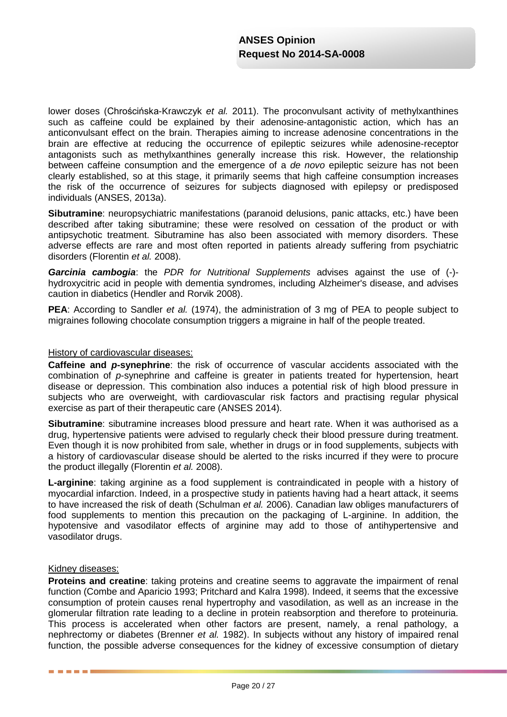lower doses (Chrościńska-Krawczyk *et al.* 2011). The proconvulsant activity of methylxanthines such as caffeine could be explained by their adenosine-antagonistic action, which has an anticonvulsant effect on the brain. Therapies aiming to increase adenosine concentrations in the brain are effective at reducing the occurrence of epileptic seizures while adenosine-receptor antagonists such as methylxanthines generally increase this risk. However, the relationship between caffeine consumption and the emergence of a *de novo* epileptic seizure has not been clearly established, so at this stage, it primarily seems that high caffeine consumption increases the risk of the occurrence of seizures for subjects diagnosed with epilepsy or predisposed individuals (ANSES, 2013a).

**Sibutramine**: neuropsychiatric manifestations (paranoid delusions, panic attacks, etc.) have been described after taking sibutramine; these were resolved on cessation of the product or with antipsychotic treatment. Sibutramine has also been associated with memory disorders. These adverse effects are rare and most often reported in patients already suffering from psychiatric disorders (Florentin *et al.* 2008).

*Garcinia cambogia*: the *PDR for Nutritional Supplements* advises against the use of (-) hydroxycitric acid in people with dementia syndromes, including Alzheimer's disease, and advises caution in diabetics (Hendler and Rorvik 2008).

**PEA**: According to Sandler *et al.* (1974), the administration of 3 mg of PEA to people subject to migraines following chocolate consumption triggers a migraine in half of the people treated.

## History of cardiovascular diseases:

**Caffeine and** *p***-synephrine**: the risk of occurrence of vascular accidents associated with the combination of *p*-synephrine and caffeine is greater in patients treated for hypertension, heart disease or depression. This combination also induces a potential risk of high blood pressure in subjects who are overweight, with cardiovascular risk factors and practising regular physical exercise as part of their therapeutic care (ANSES 2014).

**Sibutramine**: sibutramine increases blood pressure and heart rate. When it was authorised as a drug, hypertensive patients were advised to regularly check their blood pressure during treatment. Even though it is now prohibited from sale, whether in drugs or in food supplements, subjects with a history of cardiovascular disease should be alerted to the risks incurred if they were to procure the product illegally (Florentin *et al.* 2008).

**L-arginine**: taking arginine as a food supplement is contraindicated in people with a history of myocardial infarction. Indeed, in a prospective study in patients having had a heart attack, it seems to have increased the risk of death (Schulman *et al.* 2006). Canadian law obliges manufacturers of food supplements to mention this precaution on the packaging of L-arginine. In addition, the hypotensive and vasodilator effects of arginine may add to those of antihypertensive and vasodilator drugs.

## Kidney diseases:

. . . . .

**Proteins and creatine**: taking proteins and creatine seems to aggravate the impairment of renal function (Combe and Aparicio 1993; Pritchard and Kalra 1998). Indeed, it seems that the excessive consumption of protein causes renal hypertrophy and vasodilation, as well as an increase in the glomerular filtration rate leading to a decline in protein reabsorption and therefore to proteinuria. This process is accelerated when other factors are present, namely, a renal pathology, a nephrectomy or diabetes (Brenner *et al.* 1982). In subjects without any history of impaired renal function, the possible adverse consequences for the kidney of excessive consumption of dietary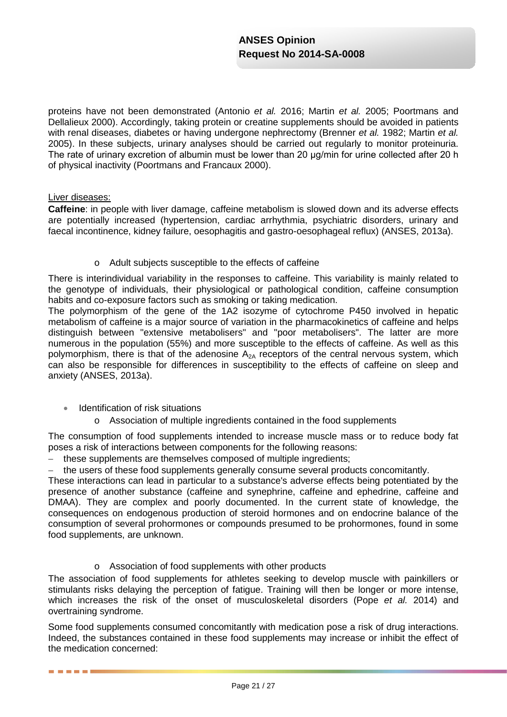proteins have not been demonstrated (Antonio *et al.* 2016; Martin *et al.* 2005; Poortmans and Dellalieux 2000). Accordingly, taking protein or creatine supplements should be avoided in patients with renal diseases, diabetes or having undergone nephrectomy (Brenner *et al.* 1982; Martin *et al.* 2005). In these subjects, urinary analyses should be carried out regularly to monitor proteinuria. The rate of urinary excretion of albumin must be lower than 20 μg/min for urine collected after 20 h of physical inactivity (Poortmans and Francaux 2000).

## Liver diseases:

------

**Caffeine**: in people with liver damage, caffeine metabolism is slowed down and its adverse effects are potentially increased (hypertension, cardiac arrhythmia, psychiatric disorders, urinary and faecal incontinence, kidney failure, oesophagitis and gastro-oesophageal reflux) (ANSES, 2013a).

o Adult subjects susceptible to the effects of caffeine

There is interindividual variability in the responses to caffeine. This variability is mainly related to the genotype of individuals, their physiological or pathological condition, caffeine consumption habits and co-exposure factors such as smoking or taking medication.

The polymorphism of the gene of the 1A2 isozyme of cytochrome P450 involved in hepatic metabolism of caffeine is a major source of variation in the pharmacokinetics of caffeine and helps distinguish between "extensive metabolisers" and "poor metabolisers". The latter are more numerous in the population (55%) and more susceptible to the effects of caffeine. As well as this polymorphism, there is that of the adenosine  $A_{2A}$  receptors of the central nervous system, which can also be responsible for differences in susceptibility to the effects of caffeine on sleep and anxiety (ANSES, 2013a).

- Identification of risk situations
	- o Association of multiple ingredients contained in the food supplements

The consumption of food supplements intended to increase muscle mass or to reduce body fat poses a risk of interactions between components for the following reasons:

− these supplements are themselves composed of multiple ingredients;

− the users of these food supplements generally consume several products concomitantly.

These interactions can lead in particular to a substance's adverse effects being potentiated by the presence of another substance (caffeine and synephrine, caffeine and ephedrine, caffeine and DMAA). They are complex and poorly documented. In the current state of knowledge, the consequences on endogenous production of steroid hormones and on endocrine balance of the consumption of several prohormones or compounds presumed to be prohormones, found in some food supplements, are unknown.

o Association of food supplements with other products

The association of food supplements for athletes seeking to develop muscle with painkillers or stimulants risks delaying the perception of fatigue. Training will then be longer or more intense, which increases the risk of the onset of musculoskeletal disorders (Pope *et al.* 2014) and overtraining syndrome.

Some food supplements consumed concomitantly with medication pose a risk of drug interactions. Indeed, the substances contained in these food supplements may increase or inhibit the effect of the medication concerned: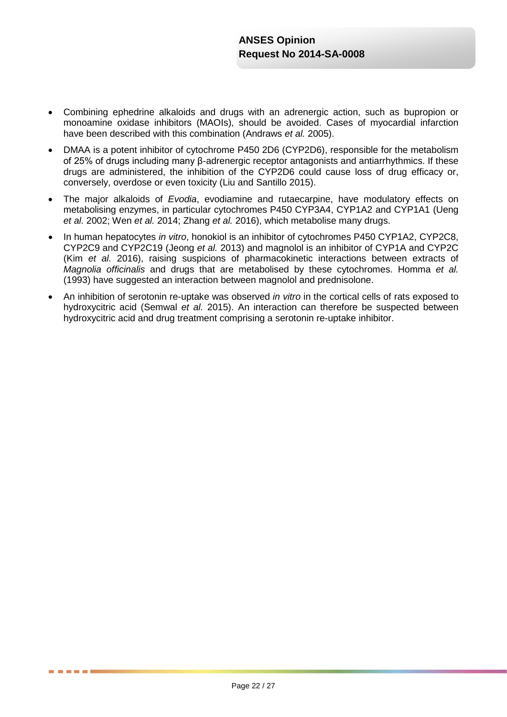- Combining ephedrine alkaloids and drugs with an adrenergic action, such as bupropion or monoamine oxidase inhibitors (MAOIs), should be avoided. Cases of myocardial infarction have been described with this combination (Andraws *et al.* 2005).
- DMAA is a potent inhibitor of cytochrome P450 2D6 (CYP2D6), responsible for the metabolism of 25% of drugs including many β-adrenergic receptor antagonists and antiarrhythmics. If these drugs are administered, the inhibition of the CYP2D6 could cause loss of drug efficacy or, conversely, overdose or even toxicity (Liu and Santillo 2015).
- The major alkaloids of *Evodia*, evodiamine and rutaecarpine, have modulatory effects on metabolising enzymes, in particular cytochromes P450 CYP3A4, CYP1A2 and CYP1A1 (Ueng *et al.* 2002; Wen *et al.* 2014; Zhang *et al.* 2016), which metabolise many drugs.
- In human hepatocytes *in vitro*, honokiol is an inhibitor of cytochromes P450 CYP1A2, CYP2C8, CYP2C9 and CYP2C19 (Jeong *et al.* 2013) and magnolol is an inhibitor of CYP1A and CYP2C (Kim *et al.* 2016), raising suspicions of pharmacokinetic interactions between extracts of *Magnolia officinalis* and drugs that are metabolised by these cytochromes. Homma *et al.* (1993) have suggested an interaction between magnolol and prednisolone.
- An inhibition of serotonin re-uptake was observed *in vitro* in the cortical cells of rats exposed to hydroxycitric acid (Semwal *et al.* 2015). An interaction can therefore be suspected between hydroxycitric acid and drug treatment comprising a serotonin re-uptake inhibitor.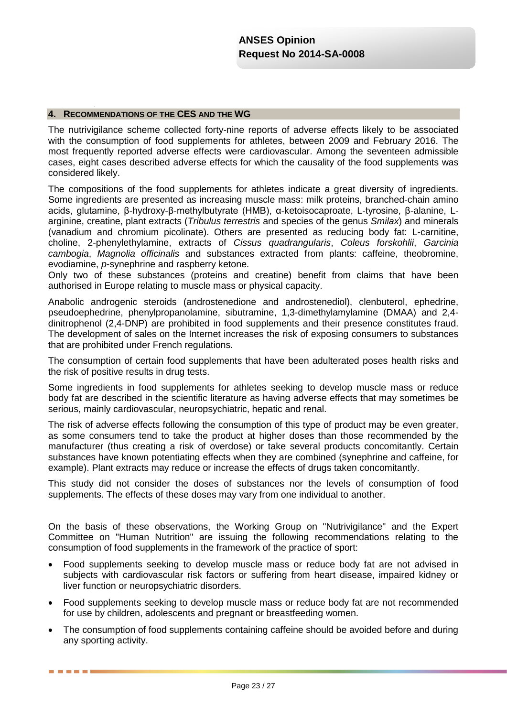## **4. RECOMMENDATIONS OF THE CES AND THE WG**

The nutrivigilance scheme collected forty-nine reports of adverse effects likely to be associated with the consumption of food supplements for athletes, between 2009 and February 2016. The most frequently reported adverse effects were cardiovascular. Among the seventeen admissible cases, eight cases described adverse effects for which the causality of the food supplements was considered likely.

The compositions of the food supplements for athletes indicate a great diversity of ingredients. Some ingredients are presented as increasing muscle mass: milk proteins, branched-chain amino acids, glutamine, β-hydroxy-β-methylbutyrate (HMB), α-ketoisocaproate, L-tyrosine, β-alanine, Larginine, creatine, plant extracts (*Tribulus terrestris* and species of the genus *Smilax*) and minerals (vanadium and chromium picolinate). Others are presented as reducing body fat: L-carnitine, choline, 2-phenylethylamine, extracts of *Cissus quadrangularis*, *Coleus forskohlii*, *Garcinia cambogia*, *Magnolia officinalis* and substances extracted from plants: caffeine, theobromine, evodiamine, *p*-synephrine and raspberry ketone.

Only two of these substances (proteins and creatine) benefit from claims that have been authorised in Europe relating to muscle mass or physical capacity.

Anabolic androgenic steroids (androstenedione and androstenediol), clenbuterol, ephedrine, pseudoephedrine, phenylpropanolamine, sibutramine, 1,3-dimethylamylamine (DMAA) and 2,4 dinitrophenol (2,4-DNP) are prohibited in food supplements and their presence constitutes fraud. The development of sales on the Internet increases the risk of exposing consumers to substances that are prohibited under French regulations.

The consumption of certain food supplements that have been adulterated poses health risks and the risk of positive results in drug tests.

Some ingredients in food supplements for athletes seeking to develop muscle mass or reduce body fat are described in the scientific literature as having adverse effects that may sometimes be serious, mainly cardiovascular, neuropsychiatric, hepatic and renal.

The risk of adverse effects following the consumption of this type of product may be even greater, as some consumers tend to take the product at higher doses than those recommended by the manufacturer (thus creating a risk of overdose) or take several products concomitantly. Certain substances have known potentiating effects when they are combined (synephrine and caffeine, for example). Plant extracts may reduce or increase the effects of drugs taken concomitantly.

This study did not consider the doses of substances nor the levels of consumption of food supplements. The effects of these doses may vary from one individual to another.

On the basis of these observations, the Working Group on "Nutrivigilance" and the Expert Committee on "Human Nutrition" are issuing the following recommendations relating to the consumption of food supplements in the framework of the practice of sport:

- Food supplements seeking to develop muscle mass or reduce body fat are not advised in subjects with cardiovascular risk factors or suffering from heart disease, impaired kidney or liver function or neuropsychiatric disorders.
- Food supplements seeking to develop muscle mass or reduce body fat are not recommended for use by children, adolescents and pregnant or breastfeeding women.
- The consumption of food supplements containing caffeine should be avoided before and during any sporting activity.

. . . .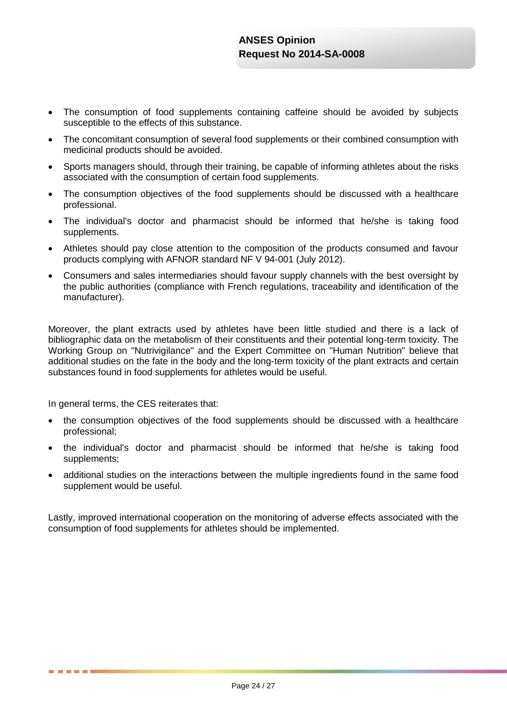- The consumption of food supplements containing caffeine should be avoided by subjects susceptible to the effects of this substance.
- The concomitant consumption of several food supplements or their combined consumption with medicinal products should be avoided.
- Sports managers should, through their training, be capable of informing athletes about the risks associated with the consumption of certain food supplements.
- The consumption objectives of the food supplements should be discussed with a healthcare professional.
- The individual's doctor and pharmacist should be informed that he/she is taking food supplements.
- Athletes should pay close attention to the composition of the products consumed and favour products complying with AFNOR standard NF V 94-001 (July 2012).
- Consumers and sales intermediaries should favour supply channels with the best oversight by the public authorities (compliance with French regulations, traceability and identification of the manufacturer).

Moreover, the plant extracts used by athletes have been little studied and there is a lack of bibliographic data on the metabolism of their constituents and their potential long-term toxicity. The Working Group on "Nutrivigilance" and the Expert Committee on "Human Nutrition" believe that additional studies on the fate in the body and the long-term toxicity of the plant extracts and certain substances found in food supplements for athletes would be useful.

In general terms, the CES reiterates that:

. . . .

- the consumption objectives of the food supplements should be discussed with a healthcare professional;
- the individual's doctor and pharmacist should be informed that he/she is taking food supplements;
- additional studies on the interactions between the multiple ingredients found in the same food supplement would be useful.

Lastly, improved international cooperation on the monitoring of adverse effects associated with the consumption of food supplements for athletes should be implemented.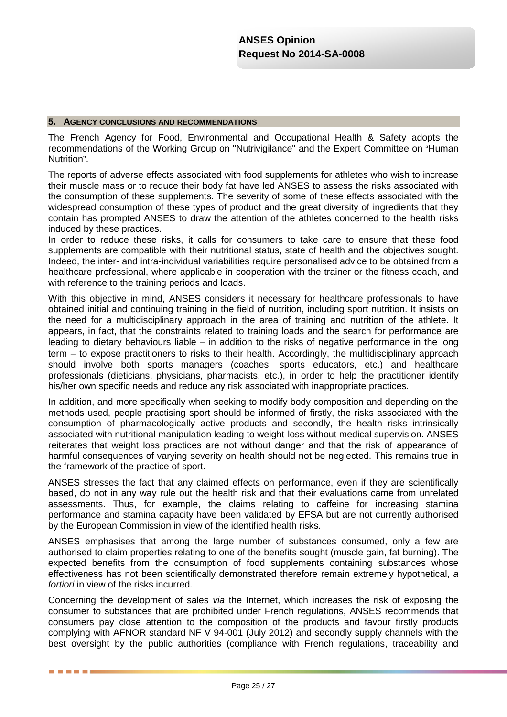#### **5. AGENCY CONCLUSIONS AND RECOMMENDATIONS**

The French Agency for Food, Environmental and Occupational Health & Safety adopts the recommendations of the Working Group on "Nutrivigilance" and the Expert Committee on "Human Nutrition".

The reports of adverse effects associated with food supplements for athletes who wish to increase their muscle mass or to reduce their body fat have led ANSES to assess the risks associated with the consumption of these supplements. The severity of some of these effects associated with the widespread consumption of these types of product and the great diversity of ingredients that they contain has prompted ANSES to draw the attention of the athletes concerned to the health risks induced by these practices.

In order to reduce these risks, it calls for consumers to take care to ensure that these food supplements are compatible with their nutritional status, state of health and the objectives sought. Indeed, the inter- and intra-individual variabilities require personalised advice to be obtained from a healthcare professional, where applicable in cooperation with the trainer or the fitness coach, and with reference to the training periods and loads.

With this objective in mind, ANSES considers it necessary for healthcare professionals to have obtained initial and continuing training in the field of nutrition, including sport nutrition. It insists on the need for a multidisciplinary approach in the area of training and nutrition of the athlete. It appears, in fact, that the constraints related to training loads and the search for performance are leading to dietary behaviours liable − in addition to the risks of negative performance in the long term – to expose practitioners to risks to their health. Accordingly, the multidisciplinary approach should involve both sports managers (coaches, sports educators, etc.) and healthcare professionals (dieticians, physicians, pharmacists, etc.), in order to help the practitioner identify his/her own specific needs and reduce any risk associated with inappropriate practices.

In addition, and more specifically when seeking to modify body composition and depending on the methods used, people practising sport should be informed of firstly, the risks associated with the consumption of pharmacologically active products and secondly, the health risks intrinsically associated with nutritional manipulation leading to weight-loss without medical supervision. ANSES reiterates that weight loss practices are not without danger and that the risk of appearance of harmful consequences of varying severity on health should not be neglected. This remains true in the framework of the practice of sport.

ANSES stresses the fact that any claimed effects on performance, even if they are scientifically based, do not in any way rule out the health risk and that their evaluations came from unrelated assessments. Thus, for example, the claims relating to caffeine for increasing stamina performance and stamina capacity have been validated by EFSA but are not currently authorised by the European Commission in view of the identified health risks.

ANSES emphasises that among the large number of substances consumed, only a few are authorised to claim properties relating to one of the benefits sought (muscle gain, fat burning). The expected benefits from the consumption of food supplements containing substances whose effectiveness has not been scientifically demonstrated therefore remain extremely hypothetical, *a fortiori* in view of the risks incurred.

Concerning the development of sales *via* the Internet, which increases the risk of exposing the consumer to substances that are prohibited under French regulations, ANSES recommends that consumers pay close attention to the composition of the products and favour firstly products complying with AFNOR standard NF V 94-001 (July 2012) and secondly supply channels with the best oversight by the public authorities (compliance with French regulations, traceability and

. . . . .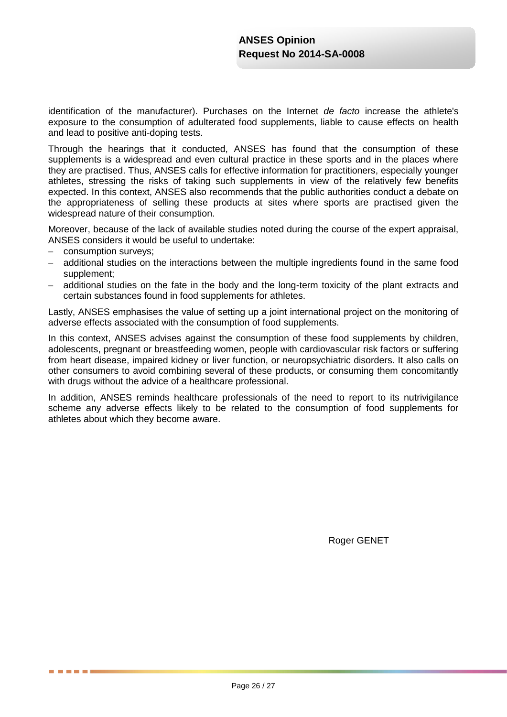identification of the manufacturer). Purchases on the Internet *de facto* increase the athlete's exposure to the consumption of adulterated food supplements, liable to cause effects on health and lead to positive anti-doping tests.

Through the hearings that it conducted, ANSES has found that the consumption of these supplements is a widespread and even cultural practice in these sports and in the places where they are practised. Thus, ANSES calls for effective information for practitioners, especially younger athletes, stressing the risks of taking such supplements in view of the relatively few benefits expected. In this context, ANSES also recommends that the public authorities conduct a debate on the appropriateness of selling these products at sites where sports are practised given the widespread nature of their consumption.

Moreover, because of the lack of available studies noted during the course of the expert appraisal, ANSES considers it would be useful to undertake:

− consumption surveys;

. . . .

- − additional studies on the interactions between the multiple ingredients found in the same food supplement;
- additional studies on the fate in the body and the long-term toxicity of the plant extracts and certain substances found in food supplements for athletes.

Lastly, ANSES emphasises the value of setting up a joint international project on the monitoring of adverse effects associated with the consumption of food supplements.

In this context, ANSES advises against the consumption of these food supplements by children, adolescents, pregnant or breastfeeding women, people with cardiovascular risk factors or suffering from heart disease, impaired kidney or liver function, or neuropsychiatric disorders. It also calls on other consumers to avoid combining several of these products, or consuming them concomitantly with drugs without the advice of a healthcare professional.

In addition, ANSES reminds healthcare professionals of the need to report to its nutrivigilance scheme any adverse effects likely to be related to the consumption of food supplements for athletes about which they become aware.

Roger GENET